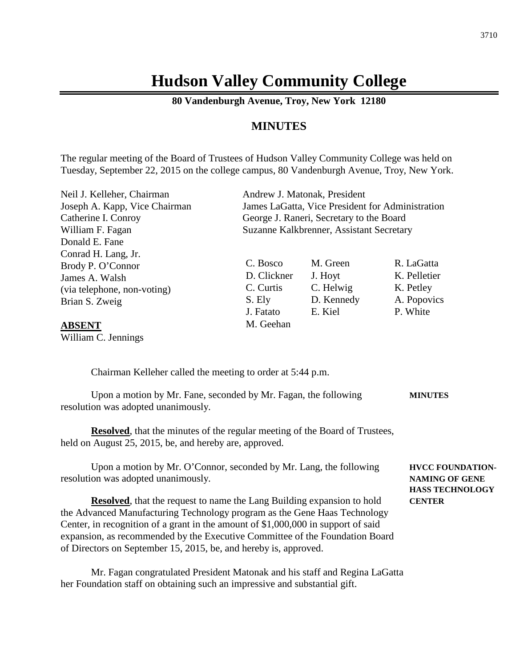# **Hudson Valley Community College**

**80 Vandenburgh Avenue, Troy, New York 12180**

## **MINUTES**

The regular meeting of the Board of Trustees of Hudson Valley Community College was held on Tuesday, September 22, 2015 on the college campus, 80 Vandenburgh Avenue, Troy, New York.

| Neil J. Kelleher, Chairman                                                                                                                                                                                                                                                                                                                                                                                            | Andrew J. Matonak, President                     |                                          |                                                                            |
|-----------------------------------------------------------------------------------------------------------------------------------------------------------------------------------------------------------------------------------------------------------------------------------------------------------------------------------------------------------------------------------------------------------------------|--------------------------------------------------|------------------------------------------|----------------------------------------------------------------------------|
| Joseph A. Kapp, Vice Chairman                                                                                                                                                                                                                                                                                                                                                                                         | James LaGatta, Vice President for Administration |                                          |                                                                            |
| Catherine I. Conroy                                                                                                                                                                                                                                                                                                                                                                                                   |                                                  | George J. Raneri, Secretary to the Board |                                                                            |
| William F. Fagan                                                                                                                                                                                                                                                                                                                                                                                                      |                                                  | Suzanne Kalkbrenner, Assistant Secretary |                                                                            |
| Donald E. Fane                                                                                                                                                                                                                                                                                                                                                                                                        |                                                  |                                          |                                                                            |
| Conrad H. Lang, Jr.                                                                                                                                                                                                                                                                                                                                                                                                   |                                                  |                                          |                                                                            |
| Brody P. O'Connor                                                                                                                                                                                                                                                                                                                                                                                                     | C. Bosco                                         | M. Green                                 | R. LaGatta                                                                 |
| James A. Walsh                                                                                                                                                                                                                                                                                                                                                                                                        | D. Clickner                                      | J. Hoyt                                  | K. Pelletier                                                               |
| (via telephone, non-voting)                                                                                                                                                                                                                                                                                                                                                                                           | C. Curtis                                        | C. Helwig                                | K. Petley                                                                  |
| Brian S. Zweig                                                                                                                                                                                                                                                                                                                                                                                                        | S. Ely                                           | D. Kennedy                               | A. Popovics                                                                |
|                                                                                                                                                                                                                                                                                                                                                                                                                       | J. Fatato                                        | E. Kiel                                  | P. White                                                                   |
| <b>ABSENT</b>                                                                                                                                                                                                                                                                                                                                                                                                         | M. Geehan                                        |                                          |                                                                            |
| William C. Jennings                                                                                                                                                                                                                                                                                                                                                                                                   |                                                  |                                          |                                                                            |
| Upon a motion by Mr. Fane, seconded by Mr. Fagan, the following<br>resolution was adopted unanimously.<br><b>Resolved</b> , that the minutes of the regular meeting of the Board of Trustees,<br>held on August 25, 2015, be, and hereby are, approved.                                                                                                                                                               |                                                  |                                          | <b>MINUTES</b>                                                             |
| Upon a motion by Mr. O'Connor, seconded by Mr. Lang, the following<br>resolution was adopted unanimously.                                                                                                                                                                                                                                                                                                             |                                                  |                                          | <b>HVCC FOUNDATION-</b><br><b>NAMING OF GENE</b><br><b>HASS TECHNOLOGY</b> |
| <b>Resolved</b> , that the request to name the Lang Building expansion to hold<br><b>CENTER</b><br>the Advanced Manufacturing Technology program as the Gene Haas Technology<br>Center, in recognition of a grant in the amount of \$1,000,000 in support of said<br>expansion, as recommended by the Executive Committee of the Foundation Board<br>of Directors on September 15, 2015, be, and hereby is, approved. |                                                  |                                          |                                                                            |
| Mr. Fagan congratulated President Matonak and his staff and Regina LaGatta<br>her Foundation staff on obtaining such an impressive and substantial gift.                                                                                                                                                                                                                                                              |                                                  |                                          |                                                                            |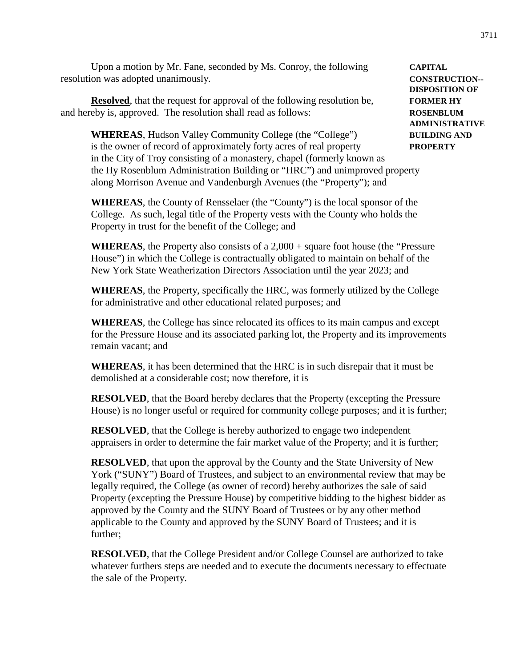Upon a motion by Mr. Fane, seconded by Ms. Conroy, the following **CAPITAL** resolution was adopted unanimously. **CONSTRUCTION--**

**Resolved**, that the request for approval of the following resolution be, **FORMER HY** and hereby is, approved. The resolution shall read as follows: **ROSENBLUM** 

**WHEREAS**, Hudson Valley Community College (the "College") **BUILDING AND** is the owner of record of approximately forty acres of real property **PROPERTY** in the City of Troy consisting of a monastery, chapel (formerly known as the Hy Rosenblum Administration Building or "HRC") and unimproved property along Morrison Avenue and Vandenburgh Avenues (the "Property"); and

**WHEREAS**, the County of Rensselaer (the "County") is the local sponsor of the College. As such, legal title of the Property vests with the County who holds the Property in trust for the benefit of the College; and

**WHEREAS**, the Property also consists of a 2,000 + square foot house (the "Pressure House") in which the College is contractually obligated to maintain on behalf of the New York State Weatherization Directors Association until the year 2023; and

**WHEREAS**, the Property, specifically the HRC, was formerly utilized by the College for administrative and other educational related purposes; and

**WHEREAS**, the College has since relocated its offices to its main campus and except for the Pressure House and its associated parking lot, the Property and its improvements remain vacant; and

**WHEREAS**, it has been determined that the HRC is in such disrepair that it must be demolished at a considerable cost; now therefore, it is

**RESOLVED**, that the Board hereby declares that the Property (excepting the Pressure House) is no longer useful or required for community college purposes; and it is further;

**RESOLVED**, that the College is hereby authorized to engage two independent appraisers in order to determine the fair market value of the Property; and it is further;

**RESOLVED**, that upon the approval by the County and the State University of New York ("SUNY") Board of Trustees, and subject to an environmental review that may be legally required, the College (as owner of record) hereby authorizes the sale of said Property (excepting the Pressure House) by competitive bidding to the highest bidder as approved by the County and the SUNY Board of Trustees or by any other method applicable to the County and approved by the SUNY Board of Trustees; and it is further;

**RESOLVED**, that the College President and/or College Counsel are authorized to take whatever furthers steps are needed and to execute the documents necessary to effectuate the sale of the Property.

**DISPOSITION OF ADMINISTRATIVE**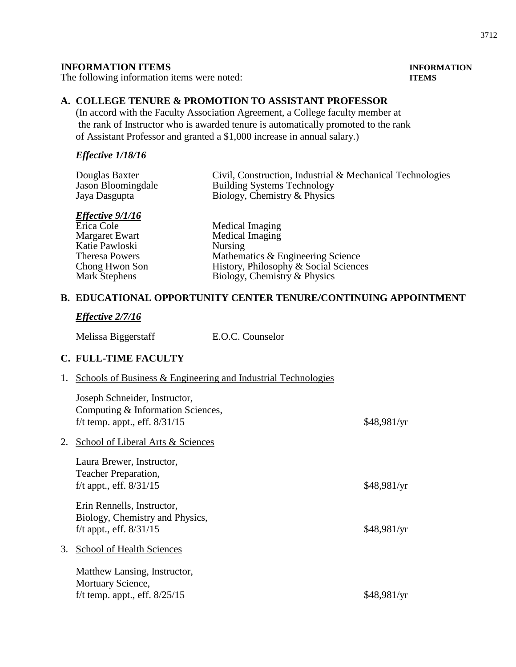#### **INFORMATION ITEMS INFORMATION**

The following information items were noted: **ITEMS**

#### **A. COLLEGE TENURE & PROMOTION TO ASSISTANT PROFESSOR**

(In accord with the Faculty Association Agreement, a College faculty member at the rank of Instructor who is awarded tenure is automatically promoted to the rank of Assistant Professor and granted a \$1,000 increase in annual salary.)

#### *Effective 1/18/16*

| Douglas Baxter     | Civil, Construction, Industrial & Mechanical Technologies |
|--------------------|-----------------------------------------------------------|
| Jason Bloomingdale | <b>Building Systems Technology</b>                        |
| Jaya Dasgupta      | Biology, Chemistry & Physics                              |

| Effective $9/1/16$    |                                       |
|-----------------------|---------------------------------------|
| Erica Cole            | Medical Imaging                       |
| Margaret Ewart        | Medical Imaging                       |
| Katie Pawloski        | <b>Nursing</b>                        |
| <b>Theresa Powers</b> | Mathematics & Engineering Science     |
| Chong Hwon Son        | History, Philosophy & Social Sciences |
| <b>Mark Stephens</b>  | Biology, Chemistry & Physics          |

### **B. EDUCATIONAL OPPORTUNITY CENTER TENURE/CONTINUING APPOINTMENT**

#### *Effective 2/7/16*

Melissa Biggerstaff E.O.C. Counselor

#### **C. FULL-TIME FACULTY**

#### 1. Schools of Business & Engineering and Industrial Technologies

|    | Joseph Schneider, Instructor,<br>Computing & Information Sciences,<br>f/t temp. appt., eff. $8/31/15$ |             |
|----|-------------------------------------------------------------------------------------------------------|-------------|
|    |                                                                                                       | \$48,981/yr |
| 2. | School of Liberal Arts & Sciences                                                                     |             |
|    | Laura Brewer, Instructor,                                                                             |             |
|    | Teacher Preparation,                                                                                  |             |
|    | f/t appt., eff. $8/31/15$                                                                             | \$48,981/yr |
|    | Erin Rennells, Instructor,                                                                            |             |
|    | Biology, Chemistry and Physics,                                                                       |             |
|    | f/t appt., eff. $8/31/15$                                                                             | \$48,981/yr |
| 3. | <b>School of Health Sciences</b>                                                                      |             |
|    | Matthew Lansing, Instructor,                                                                          |             |
|    | Mortuary Science,                                                                                     |             |
|    | f/t temp. appt., eff. $8/25/15$                                                                       | \$48,981/yr |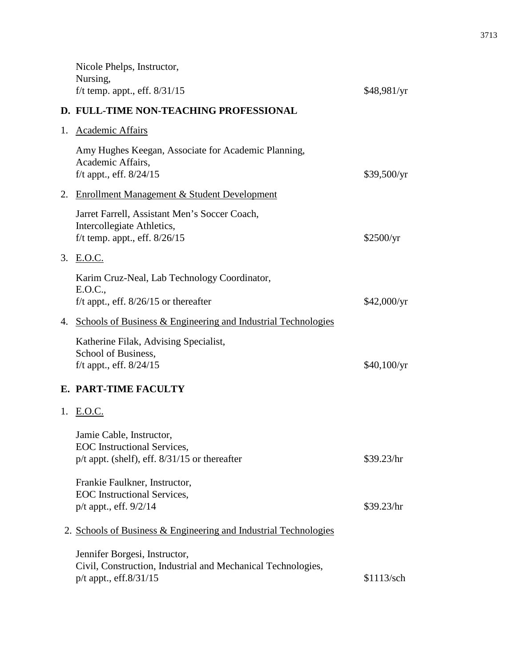|    | Nicole Phelps, Instructor,<br>Nursing,<br>f/t temp. appt., eff. $8/31/15$                                               | \$48,981/yr |
|----|-------------------------------------------------------------------------------------------------------------------------|-------------|
|    | D. FULL-TIME NON-TEACHING PROFESSIONAL                                                                                  |             |
| 1. | Academic Affairs                                                                                                        |             |
|    | Amy Hughes Keegan, Associate for Academic Planning,<br>Academic Affairs,<br>f/t appt., eff. $8/24/15$                   | \$39,500/yr |
|    | 2. Enrollment Management & Student Development                                                                          |             |
|    | Jarret Farrell, Assistant Men's Soccer Coach,<br>Intercollegiate Athletics,<br>f/t temp. appt., eff. $8/26/15$          | \$2500/yr   |
|    | 3. E.O.C.                                                                                                               |             |
|    | Karim Cruz-Neal, Lab Technology Coordinator,<br>E.O.C.,<br>f/t appt., eff. $8/26/15$ or thereafter                      | \$42,000/yr |
|    | 4. Schools of Business & Engineering and Industrial Technologies                                                        |             |
|    | Katherine Filak, Advising Specialist,<br>School of Business,<br>f/t appt., eff. $8/24/15$                               | \$40,100/yr |
|    | <b>E. PART-TIME FACULTY</b>                                                                                             |             |
|    | 1. E.O.C.                                                                                                               |             |
|    | Jamie Cable, Instructor,<br><b>EOC</b> Instructional Services,<br>$p/t$ appt. (shelf), eff. $8/31/15$ or thereafter     | \$39.23/hr  |
|    | Frankie Faulkner, Instructor,<br><b>EOC</b> Instructional Services,<br>p/t appt., eff. 9/2/14                           | \$39.23/hr  |
|    | 2. Schools of Business & Engineering and Industrial Technologies                                                        |             |
|    | Jennifer Borgesi, Instructor,<br>Civil, Construction, Industrial and Mechanical Technologies,<br>p/t appt., eff.8/31/15 | \$1113/sch  |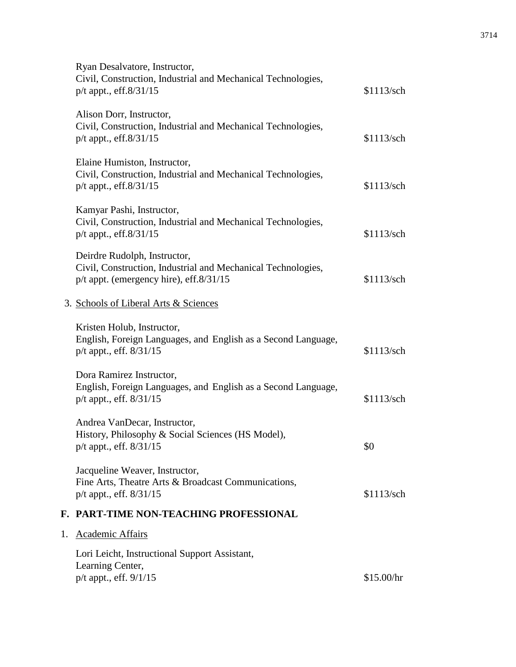|    | Ryan Desalvatore, Instructor,<br>Civil, Construction, Industrial and Mechanical Technologies,<br>$p/t$ appt., eff. $8/31/15$            | \$1113/sch |
|----|-----------------------------------------------------------------------------------------------------------------------------------------|------------|
|    | Alison Dorr, Instructor,<br>Civil, Construction, Industrial and Mechanical Technologies,<br>$p/t$ appt., eff. $8/31/15$                 | \$1113/sch |
|    | Elaine Humiston, Instructor,<br>Civil, Construction, Industrial and Mechanical Technologies,<br>$p/t$ appt., eff.8/31/15                | \$1113/sch |
|    | Kamyar Pashi, Instructor,<br>Civil, Construction, Industrial and Mechanical Technologies,<br>p/t appt., eff.8/31/15                     | \$1113/sch |
|    | Deirdre Rudolph, Instructor,<br>Civil, Construction, Industrial and Mechanical Technologies,<br>p/t appt. (emergency hire), eff.8/31/15 | \$1113/sch |
|    | 3. Schools of Liberal Arts & Sciences                                                                                                   |            |
|    | Kristen Holub, Instructor,<br>English, Foreign Languages, and English as a Second Language,<br>p/t appt., eff. 8/31/15                  | \$1113/sch |
|    | Dora Ramirez Instructor,<br>English, Foreign Languages, and English as a Second Language,<br>p/t appt., eff. 8/31/15                    | \$1113/sch |
|    | Andrea VanDecar, Instructor,<br>History, Philosophy & Social Sciences (HS Model),<br>$p/t$ appt., eff. $8/31/15$                        | \$0        |
|    | Jacqueline Weaver, Instructor,<br>Fine Arts, Theatre Arts & Broadcast Communications,<br>$p/t$ appt., eff. $8/31/15$                    | \$1113/sch |
| F. | PART-TIME NON-TEACHING PROFESSIONAL                                                                                                     |            |
| 1. | Academic Affairs                                                                                                                        |            |
|    | Lori Leicht, Instructional Support Assistant,<br>Learning Center,<br>p/t appt., eff. 9/1/15                                             | \$15.00/hr |